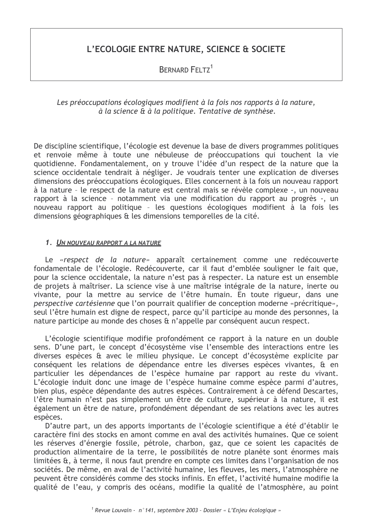# L'ECOLOGIE ENTRE NATURE, SCIENCE & SOCIETE

**BERNARD FELTZ<sup>1</sup>** 

Les préoccupations écologiques modifient à la fois nos rapports à la nature, à la science & à la politique. Tentative de synthèse.

De discipline scientifique, l'écologie est devenue la base de divers programmes politiques et renvoie même à toute une nébuleuse de préoccupations qui touchent la vie guotidienne. Fondamentalement, on y trouve l'idée d'un respect de la nature que la science occidentale tendrait à négliger. Je voudrais tenter une explication de diverses dimensions des préoccupations écologiques. Elles concernent à la fois un nouveau rapport à la nature - le respect de la nature est central mais se révèle complexe -, un nouveau rapport à la science - notamment via une modification du rapport au progrès -, un nouveau rapport au politique - les questions écologiques modifient à la fois les dimensions géographiques & les dimensions temporelles de la cité.

## 1. UN NOUVEAU RAPPORT A LA NATURE

Le «respect de la nature» apparaît certainement comme une redécouverte fondamentale de l'écologie. Redécouverte, car il faut d'emblée souligner le fait que, pour la science occidentale, la nature n'est pas à respecter. La nature est un ensemble de projets à maîtriser. La science vise à une maîtrise intégrale de la nature, inerte ou vivante, pour la mettre au service de l'être humain. En toute rigueur, dans une perspective cartésienne que l'on pourrait qualifier de conception moderne «précritique», seul l'être humain est digne de respect, parce qu'il participe au monde des personnes, la nature participe au monde des choses & n'appelle par conséquent aucun respect.

L'écologie scientifique modifie profondément ce rapport à la nature en un double sens. D'une part, le concept d'écosystème vise l'ensemble des interactions entre les diverses espèces & avec le milieu physique. Le concept d'écosystème explicite par conséquent les relations de dépendance entre les diverses espèces vivantes, & en particulier les dépendances de l'espèce humaine par rapport au reste du vivant. L'écologie induit donc une image de l'espèce humaine comme espèce parmi d'autres, bien plus, espèce dépendante des autres espèces. Contrairement à ce défend Descartes, l'être humain n'est pas simplement un être de culture, supérieur à la nature, il est également un être de nature, profondément dépendant de ses relations avec les autres espèces.

D'autre part, un des apports importants de l'écologie scientifique a été d'établir le caractère fini des stocks en amont comme en aval des activités humaines. Que ce soient les réserves d'énergie fossile, pétrole, charbon, gaz, que ce soient les capacités de production alimentaire de la terre, le possibilités de notre planète sont énormes mais limitées &, à terme, il nous faut prendre en compte ces limites dans l'organisation de nos sociétés. De même, en aval de l'activité humaine, les fleuves, les mers, l'atmosphère ne peuvent être considérés comme des stocks infinis. En effet, l'activité humaine modifie la qualité de l'eau, y compris des océans, modifie la qualité de l'atmosphère, au point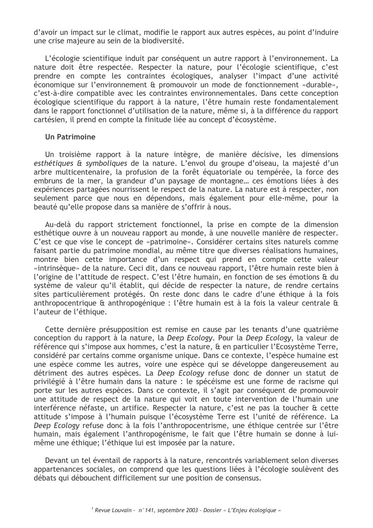d'avoir un impact sur le climat, modifie le rapport aux autres espèces, au point d'induire une crise majeure au sein de la biodiversité.

L'écologie scientifique induit par conséquent un autre rapport à l'environnement. La nature doit être respectée. Respecter la nature, pour l'écologie scientifique, c'est prendre en compte les contraintes écologiques, analyser l'impact d'une activité économique sur l'environnement & promouvoir un mode de fonctionnement «durable», c'est-à-dire compatible avec les contraintes environnementales. Dans cette conception écologique scientifique du rapport à la nature, l'être humain reste fondamentalement dans le rapport fonctionnel d'utilisation de la nature, même si, à la différence du rapport cartésien, il prend en compte la finitude liée au concept d'écosystème.

#### Un Patrimoine

Un troisième rapport à la nature intègre, de manière décisive, les dimensions esthétiques & symboliques de la nature. L'envol du groupe d'oiseau, la majesté d'un arbre multicentenaire, la profusion de la forêt équatoriale ou tempérée, la force des embruns de la mer, la grandeur d'un paysage de montagne... ces émotions liées à des expériences partagées nourrissent le respect de la nature. La nature est à respecter, non seulement parce que nous en dépendons, mais également pour elle-même, pour la beauté qu'elle propose dans sa manière de s'offrir à nous.

Au-delà du rapport strictement fonctionnel, la prise en compte de la dimension esthétique ouvre à un nouveau rapport au monde, à une nouvelle manière de respecter. C'est ce que vise le concept de «patrimoine». Considérer certains sites naturels comme faisant partie du patrimoine mondial, au même titre que diverses réalisations humaines, montre bien cette importance d'un respect qui prend en compte cette valeur «intrinsèque» de la nature. Ceci dit, dans ce nouveau rapport, l'être humain reste bien à l'origine de l'attitude de respect. C'est l'être humain, en fonction de ses émotions & du système de valeur qu'il établit, qui décide de respecter la nature, de rendre certains sites particulièrement protégés. On reste donc dans le cadre d'une éthique à la fois anthropocentrique & anthropogénique : l'être humain est à la fois la valeur centrale & l'auteur de l'éthique.

Cette dernière présupposition est remise en cause par les tenants d'une quatrième conception du rapport à la nature, la Deep Ecology. Pour la Deep Ecology, la valeur de référence qui s'impose aux hommes, c'est la nature, & en particulier l'Ecosystème Terre, considéré par certains comme organisme unique. Dans ce contexte, l'espèce humaine est une espèce comme les autres, voire une espèce qui se développe dangereusement au détriment des autres espèces. La Deep Ecology refuse donc de donner un statut de privilégié à l'être humain dans la nature : le spécéisme est une forme de racisme qui porte sur les autres espèces. Dans ce contexte, il s'agit par conséquent de promouvoir une attitude de respect de la nature qui voit en toute intervention de l'humain une interférence néfaste, un artifice. Respecter la nature, c'est ne pas la toucher & cette attitude s'impose à l'humain puisque l'écosystème Terre est l'unité de référence. La Deep Ecology refuse donc à la fois l'anthropocentrisme, une éthique centrée sur l'être humain, mais également l'anthropogénisme, le fait que l'être humain se donne à luimême une éthique: l'éthique lui est imposée par la nature.

Devant un tel éventail de rapports à la nature, rencontrés variablement selon diverses appartenances sociales, on comprend que les questions liées à l'écologie soulèvent des débats qui débouchent difficilement sur une position de consensus.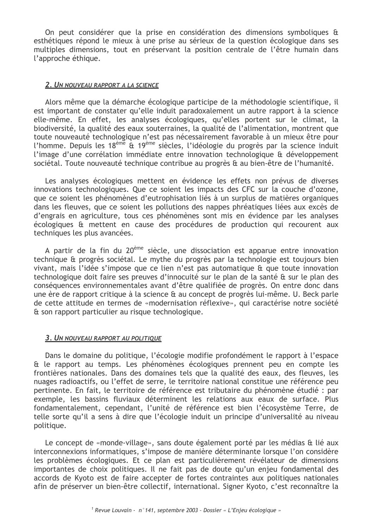On peut considérer que la prise en considération des dimensions symboliques & esthétiques répond le mieux à une prise au sérieux de la question écologique dans ses multiples dimensions, tout en préservant la position centrale de l'être humain dans l'approche éthique.

### <u>2. Un nouveau rapport a la science</u>

Alors même que la démarche écologique participe de la méthodologie scientifique, il est important de constater qu'elle induit paradoxalement un autre rapport à la science elle-même. En effet, les analyses écologiques, qu'elles portent sur le climat, la biodiversité, la qualité des eaux souterraines, la qualité de l'alimentation, montrent que toute nouveauté technologique n'est pas nécessairement favorable à un mieux être pour l'homme. Depuis les 18<sup>ème</sup> & 19<sup>ème</sup> siècles, l'idéologie du progrès par la science induit l'image d'une corrélation immédiate entre innovation technologique & développement sociétal. Toute nouveauté technique contribue au progrès & au bien-être de l'humanité.

Les analyses écologiques mettent en évidence les effets non prévus de diverses innovations technologiques. Oue ce soient les impacts des CFC sur la couche d'ozone, que ce soient les phénomènes d'eutrophisation liés à un surplus de matières organiques dans les fleuves, que ce soient les pollutions des nappes phréatiques liées aux excès de d'engrais en agriculture, tous ces phénomènes sont mis en évidence par les analyses écologiques & mettent en cause des procédures de production qui recourent aux techniques les plus avancées.

A partir de la fin du 20<sup>ème</sup> siècle, une dissociation est apparue entre innovation technique & progrès sociétal. Le mythe du progrès par la technologie est toujours bien vivant, mais l'idée s'impose que ce lien n'est pas automatique & que toute innovation technologique doit faire ses preuves d'innocuité sur le plan de la santé & sur le plan des conséquences environnementales avant d'être qualifiée de progrès. On entre donc dans une ère de rapport critique à la science & au concept de progrès lui-même. U. Beck parle de cette attitude en termes de «modernisation réflexive», qui caractérise notre société & son rapport particulier au risque technologique.

## 3. UN NOUVEAU RAPPORT AU POLITIQUE

Dans le domaine du politique, l'écologie modifie profondément le rapport à l'espace & le rapport au temps. Les phénomènes écologiques prennent peu en compte les frontières nationales. Dans des domaines tels que la qualité des eaux, des fleuves, les nuages radioactifs, ou l'effet de serre, le territoire national constitue une référence peu pertinente. En fait, le territoire de référence est tributaire du phénomène étudié : par exemple, les bassins fluviaux déterminent les relations aux eaux de surface. Plus fondamentalement, cependant, l'unité de référence est bien l'écosystème Terre, de telle sorte qu'il a sens à dire que l'écologie induit un principe d'universalité au niveau politique.

Le concept de «monde-village», sans doute également porté par les médias & lié aux interconnexions informatiques, s'impose de manière déterminante lorsque l'on considère les problèmes écologiques. Et ce plan est particulièrement révélateur de dimensions importantes de choix politiques. Il ne fait pas de doute qu'un enjeu fondamental des accords de Kyoto est de faire accepter de fortes contraintes aux politiques nationales afin de préserver un bien-être collectif, international. Signer Kyoto, c'est reconnaître la